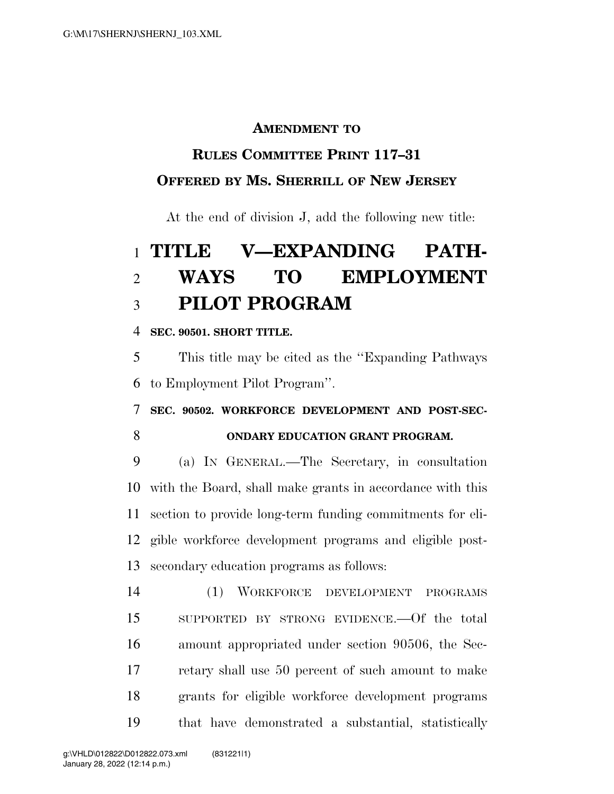### **AMENDMENT TO**

### **RULES COMMITTEE PRINT 117–31**

### **OFFERED BY MS. SHERRILL OF NEW JERSEY**

At the end of division J, add the following new title:

# **TITLE V—EXPANDING PATH- WAYS TO EMPLOYMENT PILOT PROGRAM**

### **SEC. 90501. SHORT TITLE.**

 This title may be cited as the ''Expanding Pathways to Employment Pilot Program''.

## **SEC. 90502. WORKFORCE DEVELOPMENT AND POST-SEC-ONDARY EDUCATION GRANT PROGRAM.**

 (a) IN GENERAL.—The Secretary, in consultation with the Board, shall make grants in accordance with this section to provide long-term funding commitments for eli- gible workforce development programs and eligible post-secondary education programs as follows:

 (1) WORKFORCE DEVELOPMENT PROGRAMS SUPPORTED BY STRONG EVIDENCE.—Of the total amount appropriated under section 90506, the Sec- retary shall use 50 percent of such amount to make grants for eligible workforce development programs that have demonstrated a substantial, statistically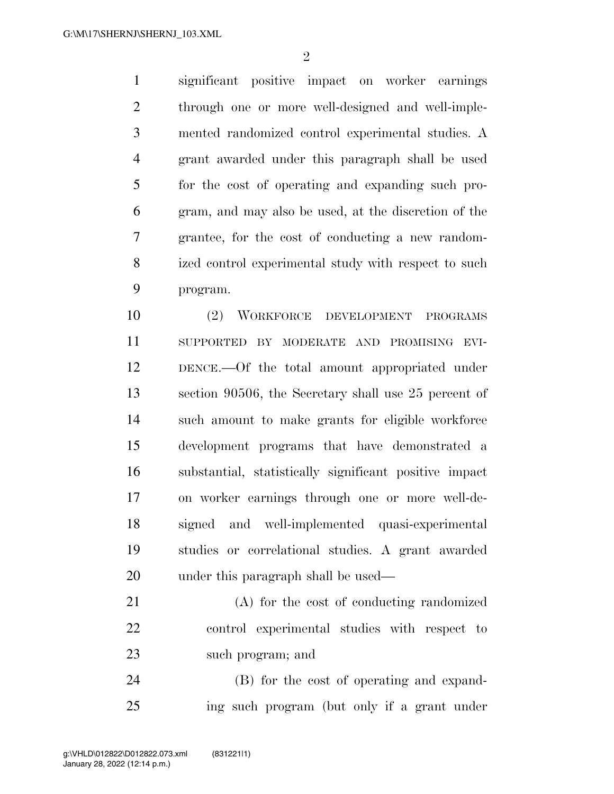$\mathfrak{D}$ 

 significant positive impact on worker earnings through one or more well-designed and well-imple- mented randomized control experimental studies. A grant awarded under this paragraph shall be used for the cost of operating and expanding such pro- gram, and may also be used, at the discretion of the grantee, for the cost of conducting a new random- ized control experimental study with respect to such program.

 (2) WORKFORCE DEVELOPMENT PROGRAMS SUPPORTED BY MODERATE AND PROMISING EVI- DENCE.—Of the total amount appropriated under section 90506, the Secretary shall use 25 percent of such amount to make grants for eligible workforce development programs that have demonstrated a substantial, statistically significant positive impact on worker earnings through one or more well-de- signed and well-implemented quasi-experimental studies or correlational studies. A grant awarded under this paragraph shall be used—

 (A) for the cost of conducting randomized control experimental studies with respect to such program; and

 (B) for the cost of operating and expand-ing such program (but only if a grant under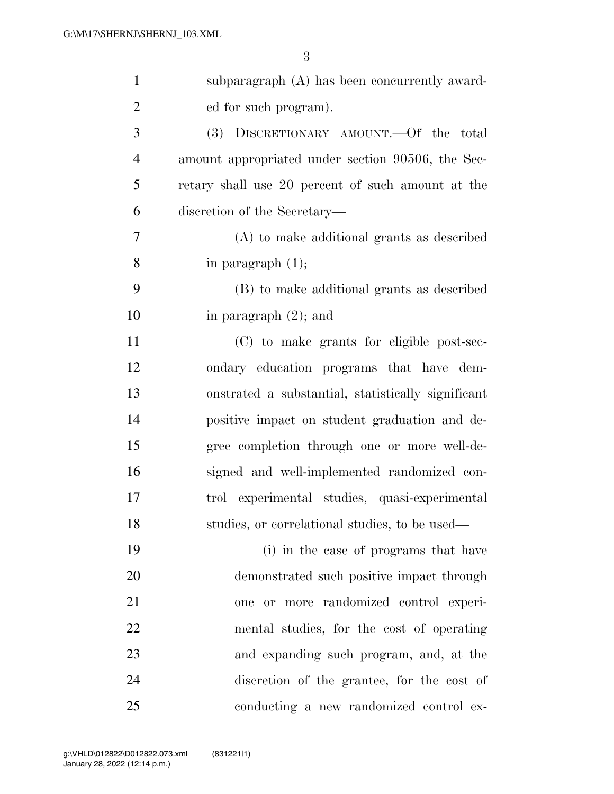| $\mathbf{1}$   | subparagraph (A) has been concurrently award-      |
|----------------|----------------------------------------------------|
| $\overline{2}$ | ed for such program).                              |
| 3              | (3) DISCRETIONARY AMOUNT.—Of the total             |
| $\overline{4}$ | amount appropriated under section 90506, the Sec-  |
| 5              | retary shall use 20 percent of such amount at the  |
| 6              | discretion of the Secretary—                       |
| 7              | (A) to make additional grants as described         |
| 8              | in paragraph $(1)$ ;                               |
| 9              | (B) to make additional grants as described         |
| 10             | in paragraph $(2)$ ; and                           |
| 11             | (C) to make grants for eligible post-sec-          |
| 12             | ondary education programs that have dem-           |
| 13             | onstrated a substantial, statistically significant |
| 14             | positive impact on student graduation and de-      |
| 15             | gree completion through one or more well-de-       |
| 16             | signed and well-implemented randomized con-        |
| 17             | trol experimental studies, quasi-experimental      |
| 18             | studies, or correlational studies, to be used—     |
| 19             | (i) in the case of programs that have              |
| 20             | demonstrated such positive impact through          |
| 21             | more randomized control experi-<br>or -<br>one     |
| 22             | mental studies, for the cost of operating          |
| 23             | and expanding such program, and, at the            |
| 24             | discretion of the grantee, for the cost of         |
| 25             | conducting a new randomized control ex-            |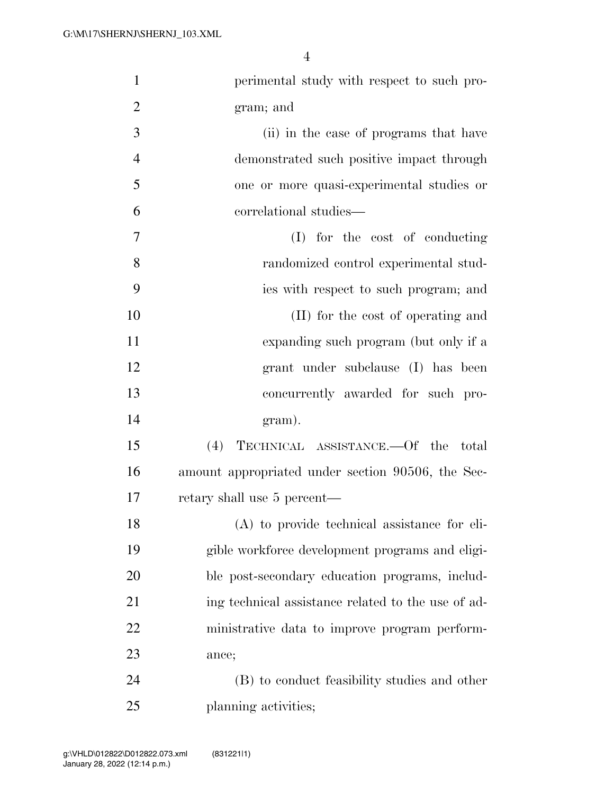| $\mathbf{1}$   | perimental study with respect to such pro-         |
|----------------|----------------------------------------------------|
| $\overline{2}$ | gram; and                                          |
| 3              | (ii) in the case of programs that have             |
| $\overline{4}$ | demonstrated such positive impact through          |
| 5              | one or more quasi-experimental studies or          |
| 6              | correlational studies—                             |
| 7              | (I) for the cost of conducting                     |
| 8              | randomized control experimental stud-              |
| 9              | ies with respect to such program; and              |
| 10             | (II) for the cost of operating and                 |
| 11             | expanding such program (but only if a              |
| 12             | grant under subclause (I) has been                 |
| 13             | concurrently awarded for such pro-                 |
| 14             | gram).                                             |
| 15             | (4) TECHNICAL ASSISTANCE.—Of the total             |
| 16             | amount appropriated under section 90506, the Sec-  |
| 17             | retary shall use 5 percent—                        |
| 18             | (A) to provide technical assistance for eli-       |
| 19             | gible workforce development programs and eligi-    |
| 20             | ble post-secondary education programs, includ-     |
| 21             | ing technical assistance related to the use of ad- |
| 22             | ministrative data to improve program perform-      |
| 23             | ance;                                              |
| 24             | (B) to conduct feasibility studies and other       |
| 25             | planning activities;                               |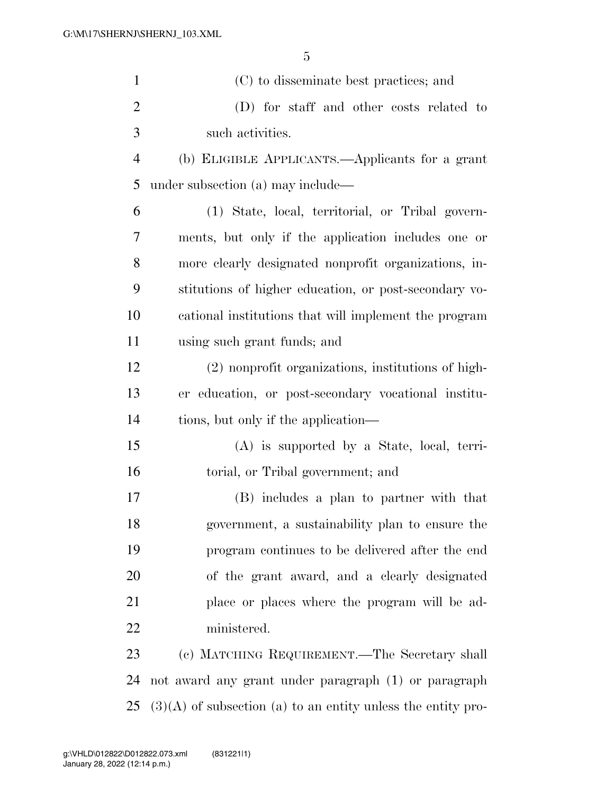| $\mathbf{1}$   | (C) to disseminate best practices; and                |
|----------------|-------------------------------------------------------|
| $\overline{2}$ | (D) for staff and other costs related to              |
| 3              | such activities.                                      |
| $\overline{4}$ | (b) ELIGIBLE APPLICANTS.—Applicants for a grant       |
| 5              | under subsection (a) may include—                     |
| 6              | (1) State, local, territorial, or Tribal govern-      |
| 7              | ments, but only if the application includes one or    |
| 8              | more clearly designated nonprofit organizations, in-  |
| 9              | stitutions of higher education, or post-secondary vo- |
| 10             | cational institutions that will implement the program |
| 11             | using such grant funds; and                           |
| 12             | (2) nonprofit organizations, institutions of high-    |
| 13             | er education, or post-secondary vocational institu-   |
| 14             | tions, but only if the application—                   |
| 15             | $(A)$ is supported by a State, local, terri-          |
| 16             | torial, or Tribal government; and                     |
| 17             | (B) includes a plan to partner with that              |
| 18             | government, a sustainability plan to ensure the       |
| 19             | program continues to be delivered after the end       |
| 20             | of the grant award, and a clearly designated          |
| 21             | place or places where the program will be ad-         |
| 22             | ministered.                                           |
| 23             | (c) MATCHING REQUIREMENT.—The Secretary shall         |
| 24             | not award any grant under paragraph (1) or paragraph  |

(3)(A) of subsection (a) to an entity unless the entity pro-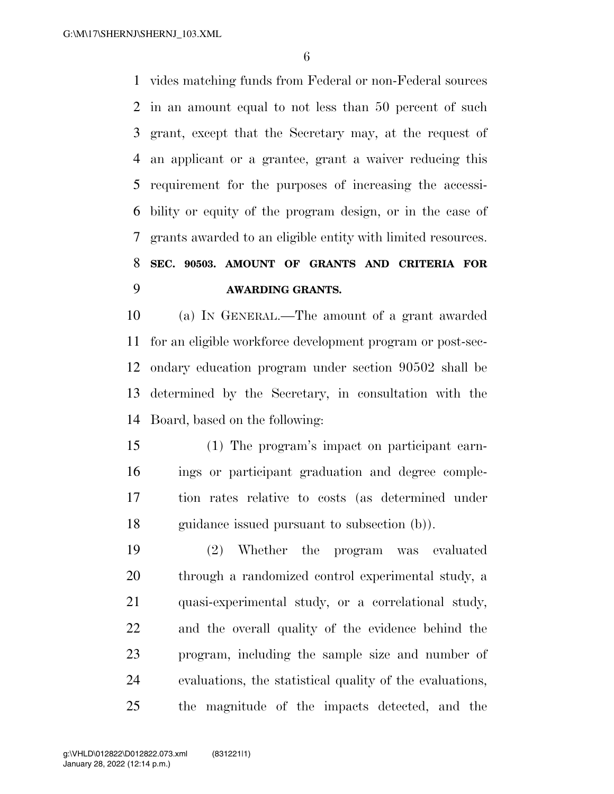vides matching funds from Federal or non-Federal sources in an amount equal to not less than 50 percent of such grant, except that the Secretary may, at the request of an applicant or a grantee, grant a waiver reducing this requirement for the purposes of increasing the accessi- bility or equity of the program design, or in the case of grants awarded to an eligible entity with limited resources. **SEC. 90503. AMOUNT OF GRANTS AND CRITERIA FOR AWARDING GRANTS.** 

 (a) IN GENERAL.—The amount of a grant awarded for an eligible workforce development program or post-sec- ondary education program under section 90502 shall be determined by the Secretary, in consultation with the Board, based on the following:

 (1) The program's impact on participant earn- ings or participant graduation and degree comple- tion rates relative to costs (as determined under guidance issued pursuant to subsection (b)).

 (2) Whether the program was evaluated through a randomized control experimental study, a quasi-experimental study, or a correlational study, and the overall quality of the evidence behind the program, including the sample size and number of evaluations, the statistical quality of the evaluations, the magnitude of the impacts detected, and the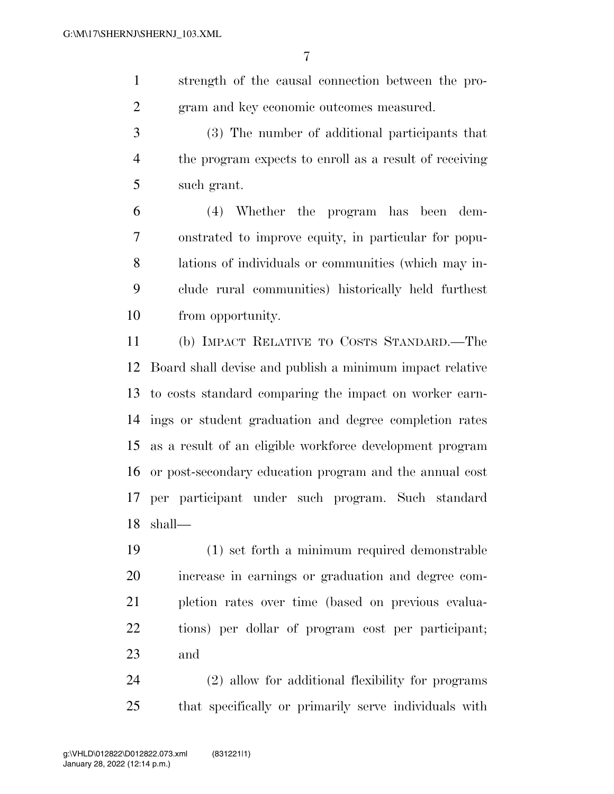strength of the causal connection between the pro-gram and key economic outcomes measured.

 (3) The number of additional participants that the program expects to enroll as a result of receiving such grant.

 (4) Whether the program has been dem- onstrated to improve equity, in particular for popu- lations of individuals or communities (which may in- clude rural communities) historically held furthest from opportunity.

 (b) IMPACT RELATIVE TO COSTS STANDARD.—The Board shall devise and publish a minimum impact relative to costs standard comparing the impact on worker earn- ings or student graduation and degree completion rates as a result of an eligible workforce development program or post-secondary education program and the annual cost per participant under such program. Such standard shall—

 (1) set forth a minimum required demonstrable increase in earnings or graduation and degree com- pletion rates over time (based on previous evalua- tions) per dollar of program cost per participant; and

 (2) allow for additional flexibility for programs that specifically or primarily serve individuals with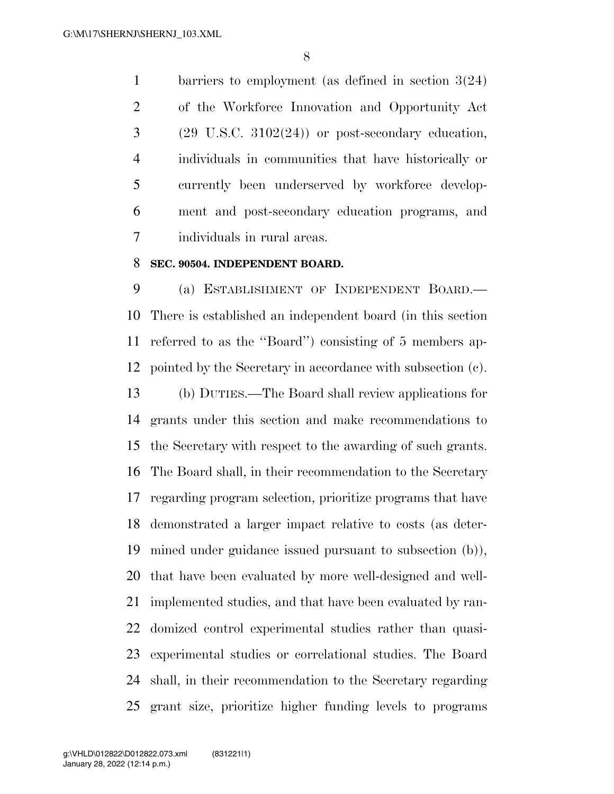barriers to employment (as defined in section 3(24) of the Workforce Innovation and Opportunity Act  $3 \qquad (29 \text{ U.S.C. } 3102(24))$  or post-secondary education, individuals in communities that have historically or currently been underserved by workforce develop- ment and post-secondary education programs, and individuals in rural areas.

#### **SEC. 90504. INDEPENDENT BOARD.**

 (a) ESTABLISHMENT OF INDEPENDENT BOARD.— There is established an independent board (in this section referred to as the ''Board'') consisting of 5 members ap-pointed by the Secretary in accordance with subsection (c).

 (b) DUTIES.—The Board shall review applications for grants under this section and make recommendations to the Secretary with respect to the awarding of such grants. The Board shall, in their recommendation to the Secretary regarding program selection, prioritize programs that have demonstrated a larger impact relative to costs (as deter- mined under guidance issued pursuant to subsection (b)), that have been evaluated by more well-designed and well- implemented studies, and that have been evaluated by ran- domized control experimental studies rather than quasi- experimental studies or correlational studies. The Board shall, in their recommendation to the Secretary regarding grant size, prioritize higher funding levels to programs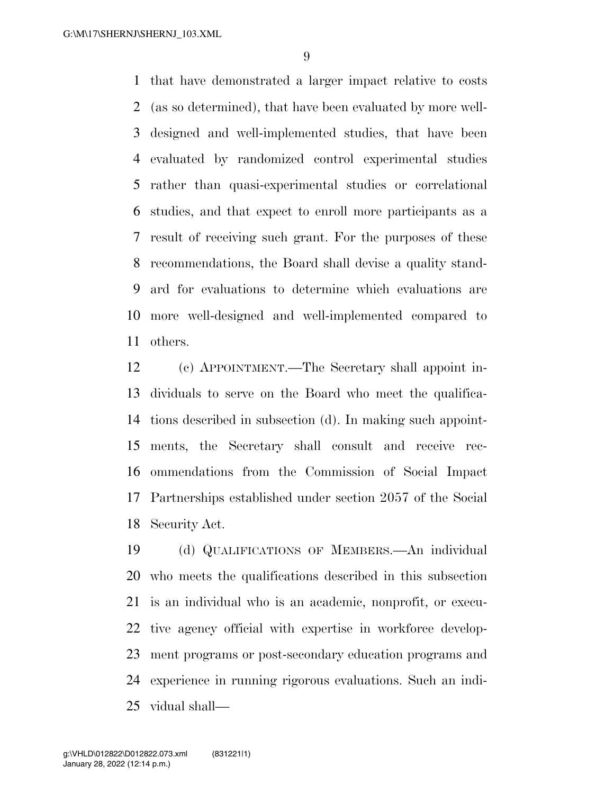that have demonstrated a larger impact relative to costs (as so determined), that have been evaluated by more well- designed and well-implemented studies, that have been evaluated by randomized control experimental studies rather than quasi-experimental studies or correlational studies, and that expect to enroll more participants as a result of receiving such grant. For the purposes of these recommendations, the Board shall devise a quality stand- ard for evaluations to determine which evaluations are more well-designed and well-implemented compared to others.

 (c) APPOINTMENT.—The Secretary shall appoint in- dividuals to serve on the Board who meet the qualifica- tions described in subsection (d). In making such appoint- ments, the Secretary shall consult and receive rec- ommendations from the Commission of Social Impact Partnerships established under section 2057 of the Social Security Act.

 (d) QUALIFICATIONS OF MEMBERS.—An individual who meets the qualifications described in this subsection is an individual who is an academic, nonprofit, or execu- tive agency official with expertise in workforce develop- ment programs or post-secondary education programs and experience in running rigorous evaluations. Such an indi-vidual shall—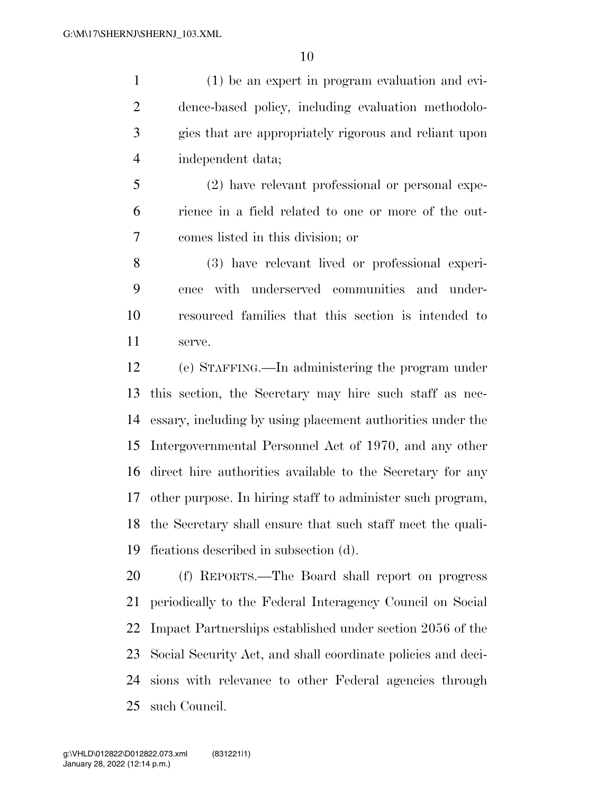(1) be an expert in program evaluation and evi- dence-based policy, including evaluation methodolo- gies that are appropriately rigorous and reliant upon independent data;

 (2) have relevant professional or personal expe- rience in a field related to one or more of the out-comes listed in this division; or

 (3) have relevant lived or professional experi- ence with underserved communities and under- resourced families that this section is intended to serve.

 (e) STAFFING.—In administering the program under this section, the Secretary may hire such staff as nec- essary, including by using placement authorities under the Intergovernmental Personnel Act of 1970, and any other direct hire authorities available to the Secretary for any other purpose. In hiring staff to administer such program, the Secretary shall ensure that such staff meet the quali-fications described in subsection (d).

 (f) REPORTS.—The Board shall report on progress periodically to the Federal Interagency Council on Social Impact Partnerships established under section 2056 of the Social Security Act, and shall coordinate policies and deci- sions with relevance to other Federal agencies through such Council.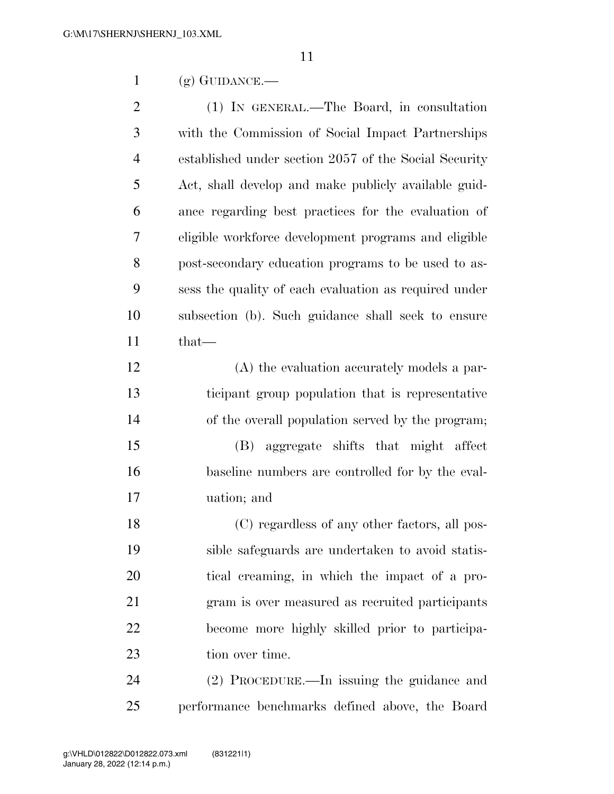(g) GUIDANCE.—

 (1) IN GENERAL.—The Board, in consultation with the Commission of Social Impact Partnerships established under section 2057 of the Social Security Act, shall develop and make publicly available guid- ance regarding best practices for the evaluation of eligible workforce development programs and eligible post-secondary education programs to be used to as- sess the quality of each evaluation as required under subsection (b). Such guidance shall seek to ensure that—

 (A) the evaluation accurately models a par- ticipant group population that is representative of the overall population served by the program; (B) aggregate shifts that might affect baseline numbers are controlled for by the eval-

uation; and

 (C) regardless of any other factors, all pos- sible safeguards are undertaken to avoid statis- tical creaming, in which the impact of a pro- gram is over measured as recruited participants become more highly skilled prior to participa-23 tion over time.

 (2) PROCEDURE.—In issuing the guidance and performance benchmarks defined above, the Board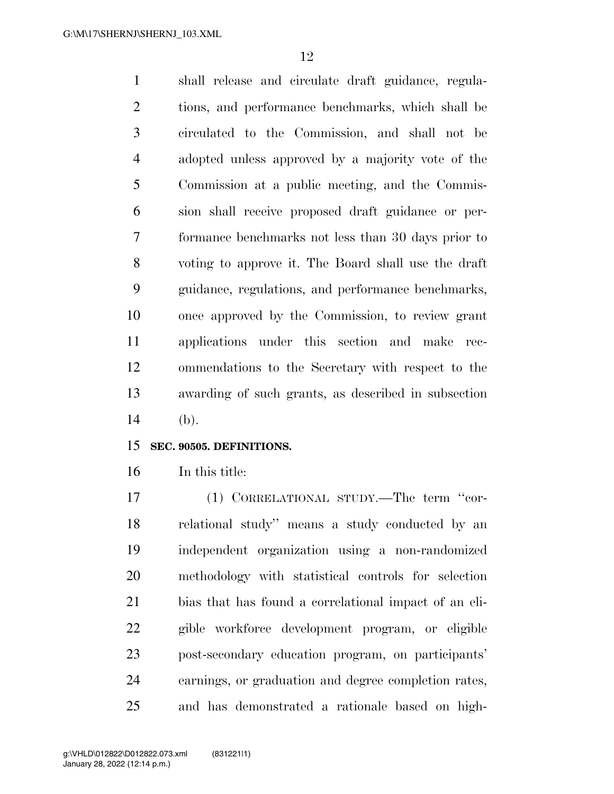shall release and circulate draft guidance, regula- tions, and performance benchmarks, which shall be circulated to the Commission, and shall not be adopted unless approved by a majority vote of the Commission at a public meeting, and the Commis- sion shall receive proposed draft guidance or per- formance benchmarks not less than 30 days prior to voting to approve it. The Board shall use the draft guidance, regulations, and performance benchmarks, once approved by the Commission, to review grant applications under this section and make rec- ommendations to the Secretary with respect to the awarding of such grants, as described in subsection (b).

#### **SEC. 90505. DEFINITIONS.**

In this title:

17 (1) CORRELATIONAL STUDY.—The term "cor- relational study'' means a study conducted by an independent organization using a non-randomized methodology with statistical controls for selection bias that has found a correlational impact of an eli- gible workforce development program, or eligible post-secondary education program, on participants' earnings, or graduation and degree completion rates, and has demonstrated a rationale based on high-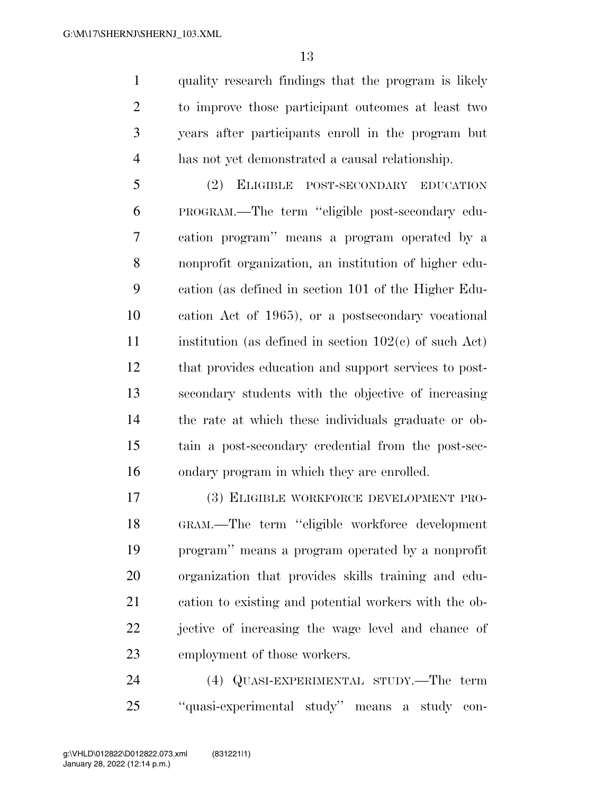quality research findings that the program is likely to improve those participant outcomes at least two years after participants enroll in the program but has not yet demonstrated a causal relationship.

 (2) ELIGIBLE POST-SECONDARY EDUCATION PROGRAM.—The term ''eligible post-secondary edu- cation program'' means a program operated by a nonprofit organization, an institution of higher edu- cation (as defined in section 101 of the Higher Edu- cation Act of 1965), or a postsecondary vocational 11 institution (as defined in section  $102(c)$  of such Act) that provides education and support services to post- secondary students with the objective of increasing the rate at which these individuals graduate or ob- tain a post-secondary credential from the post-sec-ondary program in which they are enrolled.

 (3) ELIGIBLE WORKFORCE DEVELOPMENT PRO- GRAM.—The term ''eligible workforce development program'' means a program operated by a nonprofit organization that provides skills training and edu- cation to existing and potential workers with the ob- jective of increasing the wage level and chance of employment of those workers.

 (4) QUASI-EXPERIMENTAL STUDY.—The term ''quasi-experimental study'' means a study con-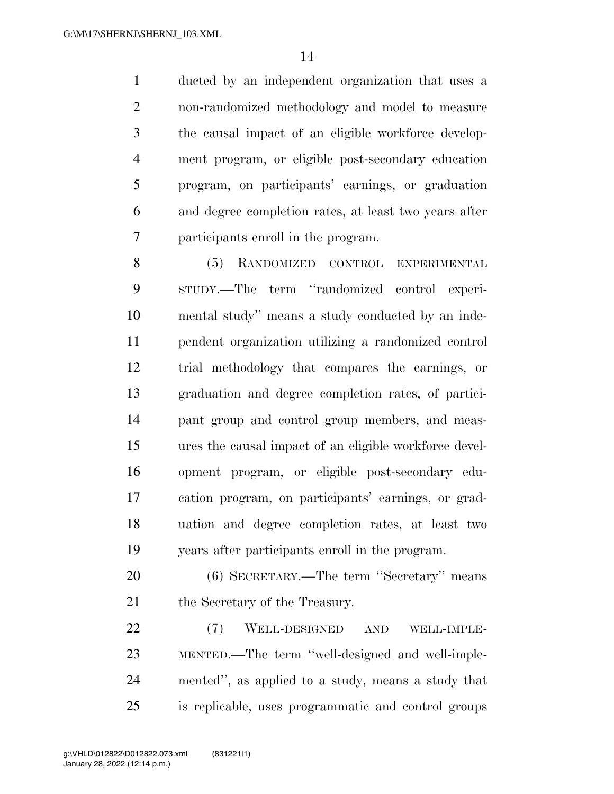ducted by an independent organization that uses a non-randomized methodology and model to measure the causal impact of an eligible workforce develop- ment program, or eligible post-secondary education program, on participants' earnings, or graduation and degree completion rates, at least two years after participants enroll in the program.

8 (5) RANDOMIZED CONTROL EXPERIMENTAL STUDY.—The term ''randomized control experi- mental study'' means a study conducted by an inde- pendent organization utilizing a randomized control trial methodology that compares the earnings, or graduation and degree completion rates, of partici- pant group and control group members, and meas- ures the causal impact of an eligible workforce devel- opment program, or eligible post-secondary edu- cation program, on participants' earnings, or grad- uation and degree completion rates, at least two years after participants enroll in the program.

 (6) SECRETARY.—The term ''Secretary'' means 21 the Secretary of the Treasury.

 (7) WELL-DESIGNED AND WELL-IMPLE- MENTED.—The term ''well-designed and well-imple- mented'', as applied to a study, means a study that is replicable, uses programmatic and control groups